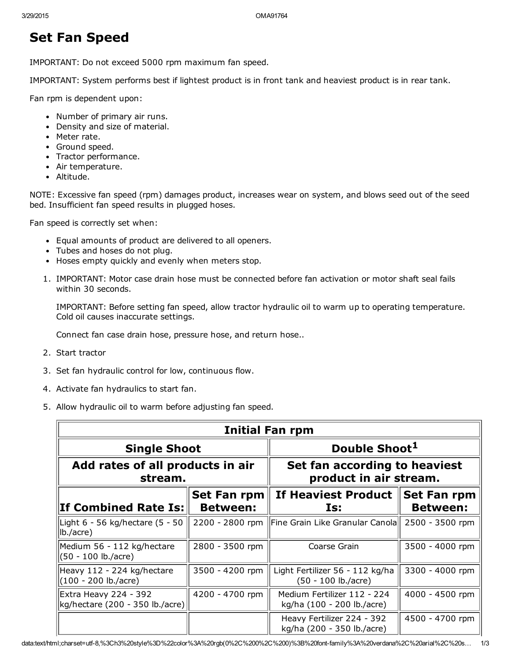## Set Fan Speed

IMPORTANT: Do not exceed 5000 rpm maximum fan speed.

IMPORTANT: System performs best if lightest product is in front tank and heaviest product is in rear tank.

Fan rpm is dependent upon:

- Number of primary air runs.
- Density and size of material.
- Meter rate.
- Ground speed.
- Tractor performance.
- Air temperature.
- Altitude.

NOTE: Excessive fan speed (rpm) damages product, increases wear on system, and blows seed out of the seed bed. Insufficient fan speed results in plugged hoses.

Fan speed is correctly set when:

- Equal amounts of product are delivered to all openers.
- Tubes and hoses do not plug.
- Hoses empty quickly and evenly when meters stop.
- 1. IMPORTANT: Motor case drain hose must be connected before fan activation or motor shaft seal fails within 30 seconds.

IMPORTANT: Before setting fan speed, allow tractor hydraulic oil to warm up to operating temperature. Cold oil causes inaccurate settings.

Connect fan case drain hose, pressure hose, and return hose..

- 2. Start tractor
- 3. Set fan hydraulic control for low, continuous flow.
- 4. Activate fan hydraulics to start fan.
- 5. Allow hydraulic oil to warm before adjusting fan speed.

| Initial Fan rpm                                          |                                       |                                                                    |                                       |
|----------------------------------------------------------|---------------------------------------|--------------------------------------------------------------------|---------------------------------------|
| <b>Single Shoot</b>                                      |                                       | Double Shoot <sup>1</sup>                                          |                                       |
| Add rates of all products in air<br>stream.              |                                       | Set fan according to heaviest<br>product in air stream.            |                                       |
| <b>If Combined Rate Is:</b>                              | <b>Set Fan rpm</b><br><b>Between:</b> | If Heaviest Product<br>Is:                                         | <b>Set Fan rpm</b><br><b>Between:</b> |
| Light 6 - 56 kg/hectare (5 - 50<br>$ Ib./acre\rangle$    |                                       | 2200 - 2800 rpm   Fine Grain Like Granular Canola  2500 - 3500 rpm |                                       |
| Medium 56 - 112 kg/hectare<br>(50 - 100 lb./acre)        | 2800 - 3500 rpm                       | Coarse Grain                                                       | 3500 - 4000 rpm                       |
| Heavy 112 - 224 kg/hectare<br>$(100 - 200$ lb./acre)     | 3500 - 4200 rpm                       | Light Fertilizer 56 - 112 kg/ha<br>(50 - 100 lb./acre)             | 3300 - 4000 rpm                       |
| Extra Heavy 224 - 392<br>kg/hectare (200 - 350 lb./acre) | 4200 - 4700 rpm                       | Medium Fertilizer 112 - 224<br>kg/ha (100 - 200 lb./acre)          | 4000 - 4500 rpm                       |
|                                                          |                                       | Heavy Fertilizer 224 - 392<br>kg/ha (200 - 350 lb./acre)           | 4500 - 4700 rpm                       |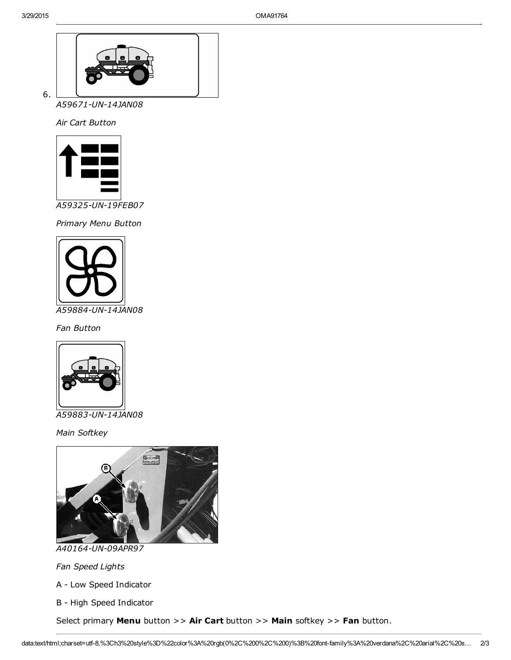

6.

*A59671UN14JAN08*

*Air Cart Button*



*A59325UN19FEB07*

*Primary Menu Button*



*Fan Button*



*A59883UN14JAN08*

*Main Softkey*



*A40164UN09APR97*

*Fan Speed Lights*

A - Low Speed Indicator

B - High Speed Indicator

Select primary Menu button >> Air Cart button >> Main softkey >> Fan button.